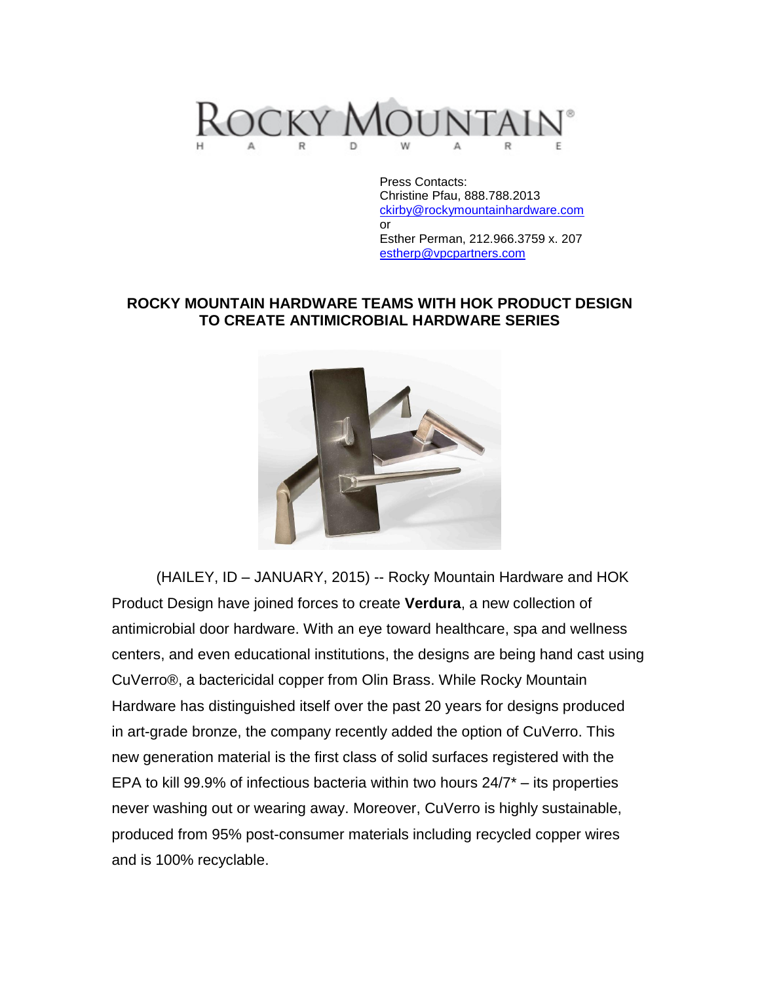

Press Contacts: Christine Pfau, 888.788.2013 [ckirby@rockymountainhardware.com](mailto:ckirby@rockymountainhardware.com) or Esther Perman, 212.966.3759 x. 207 [estherp@vpcpartners.com](mailto:estherp@vpcpartners.com)

## **ROCKY MOUNTAIN HARDWARE TEAMS WITH HOK PRODUCT DESIGN TO CREATE ANTIMICROBIAL HARDWARE SERIES**



(HAILEY, ID – JANUARY, 2015) -- Rocky Mountain Hardware and HOK Product Design have joined forces to create **Verdura**, a new collection of antimicrobial door hardware. With an eye toward healthcare, spa and wellness centers, and even educational institutions, the designs are being hand cast using CuVerro®, a bactericidal copper from Olin Brass. While Rocky Mountain Hardware has distinguished itself over the past 20 years for designs produced in art-grade bronze, the company recently added the option of CuVerro. This new generation material is the first class of solid surfaces registered with the EPA to kill 99.9% of infectious bacteria within two hours  $24/7^*$  – its properties never washing out or wearing away. Moreover, CuVerro is highly sustainable, produced from 95% post-consumer materials including recycled copper wires and is 100% recyclable.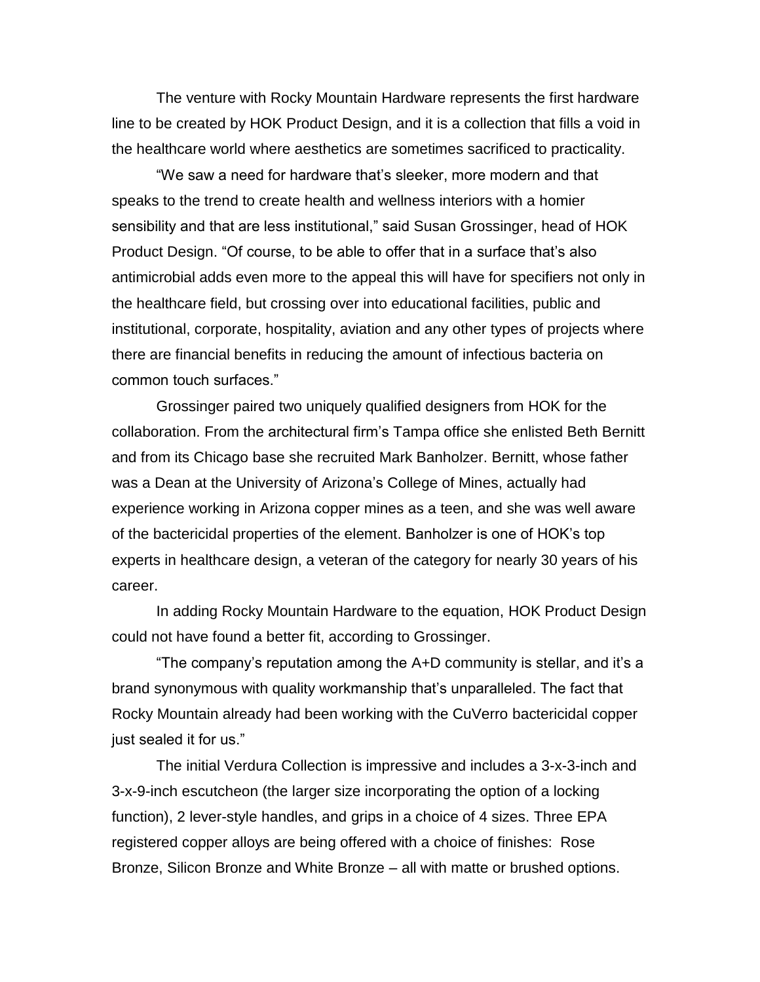The venture with Rocky Mountain Hardware represents the first hardware line to be created by HOK Product Design, and it is a collection that fills a void in the healthcare world where aesthetics are sometimes sacrificed to practicality.

"We saw a need for hardware that's sleeker, more modern and that speaks to the trend to create health and wellness interiors with a homier sensibility and that are less institutional," said Susan Grossinger, head of HOK Product Design. "Of course, to be able to offer that in a surface that's also antimicrobial adds even more to the appeal this will have for specifiers not only in the healthcare field, but crossing over into educational facilities, public and institutional, corporate, hospitality, aviation and any other types of projects where there are financial benefits in reducing the amount of infectious bacteria on common touch surfaces."

Grossinger paired two uniquely qualified designers from HOK for the collaboration. From the architectural firm's Tampa office she enlisted Beth Bernitt and from its Chicago base she recruited Mark Banholzer. Bernitt, whose father was a Dean at the University of Arizona's College of Mines, actually had experience working in Arizona copper mines as a teen, and she was well aware of the bactericidal properties of the element. Banholzer is one of HOK's top experts in healthcare design, a veteran of the category for nearly 30 years of his career.

In adding Rocky Mountain Hardware to the equation, HOK Product Design could not have found a better fit, according to Grossinger.

"The company's reputation among the A+D community is stellar, and it's a brand synonymous with quality workmanship that's unparalleled. The fact that Rocky Mountain already had been working with the CuVerro bactericidal copper just sealed it for us."

The initial Verdura Collection is impressive and includes a 3-x-3-inch and 3-x-9-inch escutcheon (the larger size incorporating the option of a locking function), 2 lever-style handles, and grips in a choice of 4 sizes. Three EPA registered copper alloys are being offered with a choice of finishes: Rose Bronze, Silicon Bronze and White Bronze – all with matte or brushed options.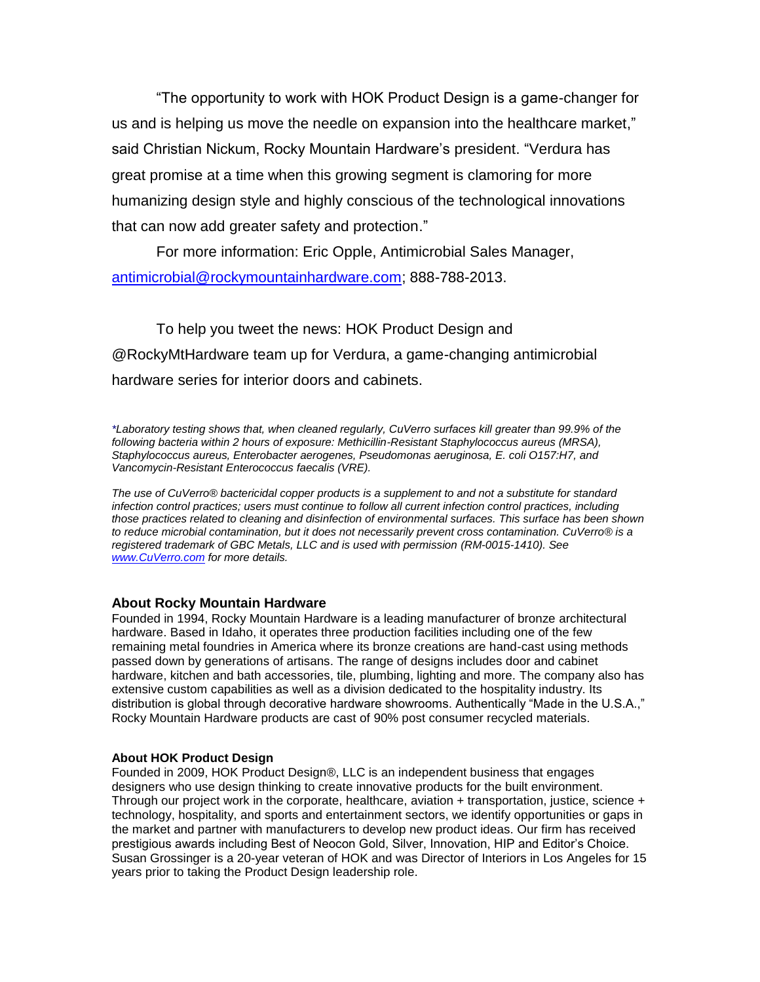"The opportunity to work with HOK Product Design is a game-changer for us and is helping us move the needle on expansion into the healthcare market," said Christian Nickum, Rocky Mountain Hardware's president. "Verdura has great promise at a time when this growing segment is clamoring for more humanizing design style and highly conscious of the technological innovations that can now add greater safety and protection."

For more information: Eric Opple, Antimicrobial Sales Manager, [antimicrobial@rockymountainhardware.com;](mailto:antimicrobial@rockymountainhardware.com) 888-788-2013.

To help you tweet the news: HOK Product Design and @RockyMtHardware team up for Verdura, a game-changing antimicrobial hardware series for interior doors and cabinets.

*\*Laboratory testing shows that, when cleaned regularly, CuVerro surfaces kill greater than 99.9% of the following bacteria within 2 hours of exposure: Methicillin-Resistant Staphylococcus aureus (MRSA), Staphylococcus aureus, Enterobacter aerogenes, Pseudomonas aeruginosa, E. coli O157:H7, and Vancomycin-Resistant Enterococcus faecalis (VRE).* 

*The use of CuVerro® bactericidal copper products is a supplement to and not a substitute for standard infection control practices; users must continue to follow all current infection control practices, including those practices related to cleaning and disinfection of environmental surfaces. This surface has been shown to reduce microbial contamination, but it does not necessarily prevent cross contamination. CuVerro® is a registered trademark of GBC Metals, LLC and is used with permission (RM-0015-1410). See www.CuVerro.com for more details.*

## **About Rocky Mountain Hardware**

Founded in 1994, Rocky Mountain Hardware is a leading manufacturer of bronze architectural hardware. Based in Idaho, it operates three production facilities including one of the few remaining metal foundries in America where its bronze creations are hand-cast using methods passed down by generations of artisans. The range of designs includes door and cabinet hardware, kitchen and bath accessories, tile, plumbing, lighting and more. The company also has extensive custom capabilities as well as a division dedicated to the hospitality industry. Its distribution is global through decorative hardware showrooms. Authentically "Made in the U.S.A.," Rocky Mountain Hardware products are cast of 90% post consumer recycled materials.

## **About HOK Product Design**

Founded in 2009, HOK Product Design®, LLC is an independent business that engages designers who use design thinking to create innovative products for the built environment. Through our project work in the corporate, healthcare, aviation  $+$  transportation, justice, science  $+$ technology, hospitality, and sports and entertainment sectors, we identify opportunities or gaps in the market and partner with manufacturers to develop new product ideas. Our firm has received prestigious awards including Best of Neocon Gold, Silver, Innovation, HIP and Editor's Choice. Susan Grossinger is a 20-year veteran of HOK and was Director of Interiors in Los Angeles for 15 years prior to taking the Product Design leadership role.